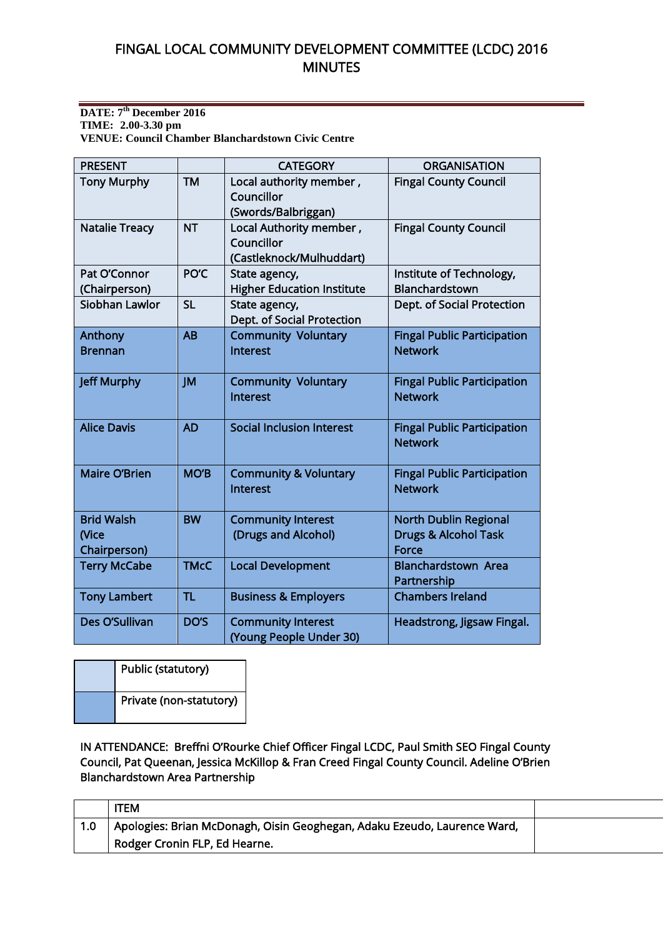#### **DATE: 7 th December 2016 TIME: 2.00-3.30 pm VENUE: Council Chamber Blanchardstown Civic Centre**

| <b>PRESENT</b>                             |             | <b>CATEGORY</b>                                                   | <b>ORGANISATION</b>                                                      |
|--------------------------------------------|-------------|-------------------------------------------------------------------|--------------------------------------------------------------------------|
| <b>Tony Murphy</b>                         | <b>TM</b>   | Local authority member,<br>Councillor<br>(Swords/Balbriggan)      | <b>Fingal County Council</b>                                             |
| <b>Natalie Treacy</b>                      | <b>NT</b>   | Local Authority member,<br>Councillor<br>(Castleknock/Mulhuddart) | <b>Fingal County Council</b>                                             |
| Pat O'Connor<br>(Chairperson)              | PO'C        | State agency,<br><b>Higher Education Institute</b>                | Institute of Technology,<br>Blanchardstown                               |
| Siobhan Lawlor                             | <b>SL</b>   | State agency,<br>Dept. of Social Protection                       | Dept. of Social Protection                                               |
| Anthony<br><b>Brennan</b>                  | AB          | <b>Community Voluntary</b><br>Interest                            | <b>Fingal Public Participation</b><br><b>Network</b>                     |
| <b>Jeff Murphy</b>                         | JM          | <b>Community Voluntary</b><br>Interest                            | <b>Fingal Public Participation</b><br><b>Network</b>                     |
| <b>Alice Davis</b>                         | <b>AD</b>   | <b>Social Inclusion Interest</b>                                  | <b>Fingal Public Participation</b><br><b>Network</b>                     |
| <b>Maire O'Brien</b>                       | <b>MO'B</b> | <b>Community &amp; Voluntary</b><br>Interest                      | <b>Fingal Public Participation</b><br><b>Network</b>                     |
| <b>Brid Walsh</b><br>(Vice<br>Chairperson) | <b>BW</b>   | <b>Community Interest</b><br>(Drugs and Alcohol)                  | <b>North Dublin Regional</b><br><b>Drugs &amp; Alcohol Task</b><br>Force |
| <b>Terry McCabe</b>                        | <b>TMcC</b> | <b>Local Development</b>                                          | <b>Blanchardstown Area</b><br>Partnership                                |
| <b>Tony Lambert</b>                        | <b>TL</b>   | <b>Business &amp; Employers</b>                                   | <b>Chambers Ireland</b>                                                  |
| Des O'Sullivan                             | DO'S        | <b>Community Interest</b><br>(Young People Under 30)              | Headstrong, Jigsaw Fingal.                                               |

| Public (statutory)      |  |
|-------------------------|--|
| Private (non-statutory) |  |

IN ATTENDANCE: Breffni O'Rourke Chief Officer Fingal LCDC, Paul Smith SEO Fingal County Council, Pat Queenan, Jessica McKillop & Fran Creed Fingal County Council. Adeline O'Brien Blanchardstown Area Partnership

|     | <b>ITEM</b>                                                                           |  |
|-----|---------------------------------------------------------------------------------------|--|
| 1.0 | <sup>1</sup> Apologies: Brian McDonagh, Oisin Geoghegan, Adaku Ezeudo, Laurence Ward, |  |
|     | Rodger Cronin FLP, Ed Hearne.                                                         |  |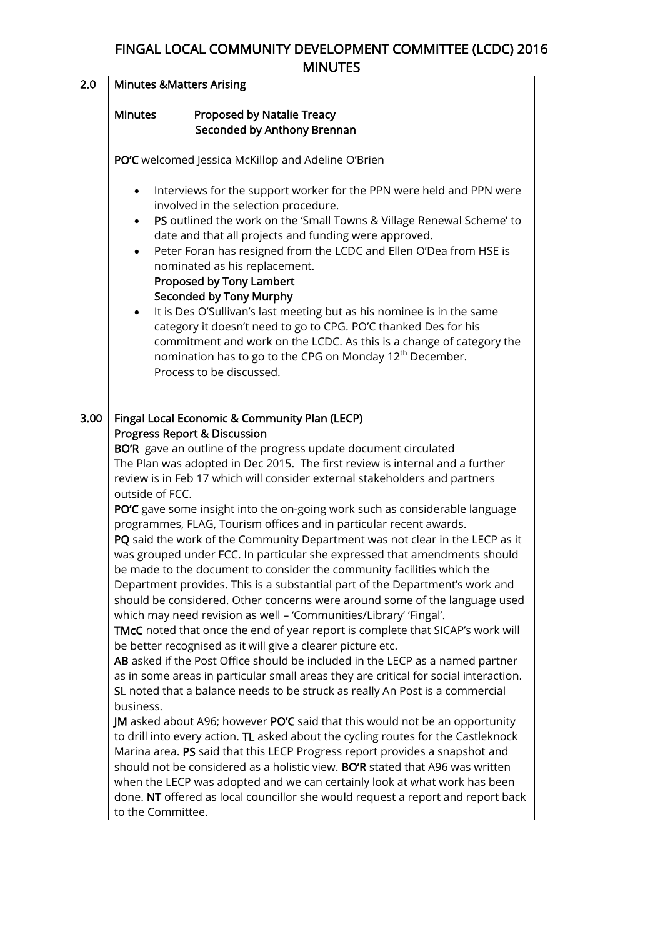| 2.0  | <b>Minutes &amp; Matters Arising</b>                                                                                                                                                                                                                                                                                                                                                                                                                                                                                                                                                                                                                                                                                                                                                                                                                                                                                                                                                                                                                                                                                                                                                                                                                                                                                                                                                                                                                                                                                                                                                                                                                                                                                                                                                                                                                                                                                               |  |
|------|------------------------------------------------------------------------------------------------------------------------------------------------------------------------------------------------------------------------------------------------------------------------------------------------------------------------------------------------------------------------------------------------------------------------------------------------------------------------------------------------------------------------------------------------------------------------------------------------------------------------------------------------------------------------------------------------------------------------------------------------------------------------------------------------------------------------------------------------------------------------------------------------------------------------------------------------------------------------------------------------------------------------------------------------------------------------------------------------------------------------------------------------------------------------------------------------------------------------------------------------------------------------------------------------------------------------------------------------------------------------------------------------------------------------------------------------------------------------------------------------------------------------------------------------------------------------------------------------------------------------------------------------------------------------------------------------------------------------------------------------------------------------------------------------------------------------------------------------------------------------------------------------------------------------------------|--|
|      | <b>Minutes</b><br><b>Proposed by Natalie Treacy</b><br>Seconded by Anthony Brennan                                                                                                                                                                                                                                                                                                                                                                                                                                                                                                                                                                                                                                                                                                                                                                                                                                                                                                                                                                                                                                                                                                                                                                                                                                                                                                                                                                                                                                                                                                                                                                                                                                                                                                                                                                                                                                                 |  |
|      | PO'C welcomed Jessica McKillop and Adeline O'Brien                                                                                                                                                                                                                                                                                                                                                                                                                                                                                                                                                                                                                                                                                                                                                                                                                                                                                                                                                                                                                                                                                                                                                                                                                                                                                                                                                                                                                                                                                                                                                                                                                                                                                                                                                                                                                                                                                 |  |
|      | Interviews for the support worker for the PPN were held and PPN were<br>involved in the selection procedure.<br>PS outlined the work on the 'Small Towns & Village Renewal Scheme' to<br>date and that all projects and funding were approved.<br>Peter Foran has resigned from the LCDC and Ellen O'Dea from HSE is<br>$\bullet$<br>nominated as his replacement.<br>Proposed by Tony Lambert<br>Seconded by Tony Murphy<br>It is Des O'Sullivan's last meeting but as his nominee is in the same<br>$\bullet$<br>category it doesn't need to go to CPG. PO'C thanked Des for his<br>commitment and work on the LCDC. As this is a change of category the<br>nomination has to go to the CPG on Monday 12 <sup>th</sup> December.<br>Process to be discussed.                                                                                                                                                                                                                                                                                                                                                                                                                                                                                                                                                                                                                                                                                                                                                                                                                                                                                                                                                                                                                                                                                                                                                                     |  |
| 3.00 | Fingal Local Economic & Community Plan (LECP)<br><b>Progress Report &amp; Discussion</b><br>BO'R gave an outline of the progress update document circulated<br>The Plan was adopted in Dec 2015. The first review is internal and a further<br>review is in Feb 17 which will consider external stakeholders and partners<br>outside of FCC.<br>PO'C gave some insight into the on-going work such as considerable language<br>programmes, FLAG, Tourism offices and in particular recent awards.<br>PQ said the work of the Community Department was not clear in the LECP as it<br>was grouped under FCC. In particular she expressed that amendments should<br>be made to the document to consider the community facilities which the<br>Department provides. This is a substantial part of the Department's work and<br>should be considered. Other concerns were around some of the language used<br>which may need revision as well - 'Communities/Library' 'Fingal'.<br>TMcC noted that once the end of year report is complete that SICAP's work will<br>be better recognised as it will give a clearer picture etc.<br>AB asked if the Post Office should be included in the LECP as a named partner<br>as in some areas in particular small areas they are critical for social interaction.<br>SL noted that a balance needs to be struck as really An Post is a commercial<br>business.<br><b>JM</b> asked about A96; however PO'C said that this would not be an opportunity<br>to drill into every action. TL asked about the cycling routes for the Castleknock<br>Marina area. PS said that this LECP Progress report provides a snapshot and<br>should not be considered as a holistic view. BO'R stated that A96 was written<br>when the LECP was adopted and we can certainly look at what work has been<br>done. NT offered as local councillor she would request a report and report back<br>to the Committee. |  |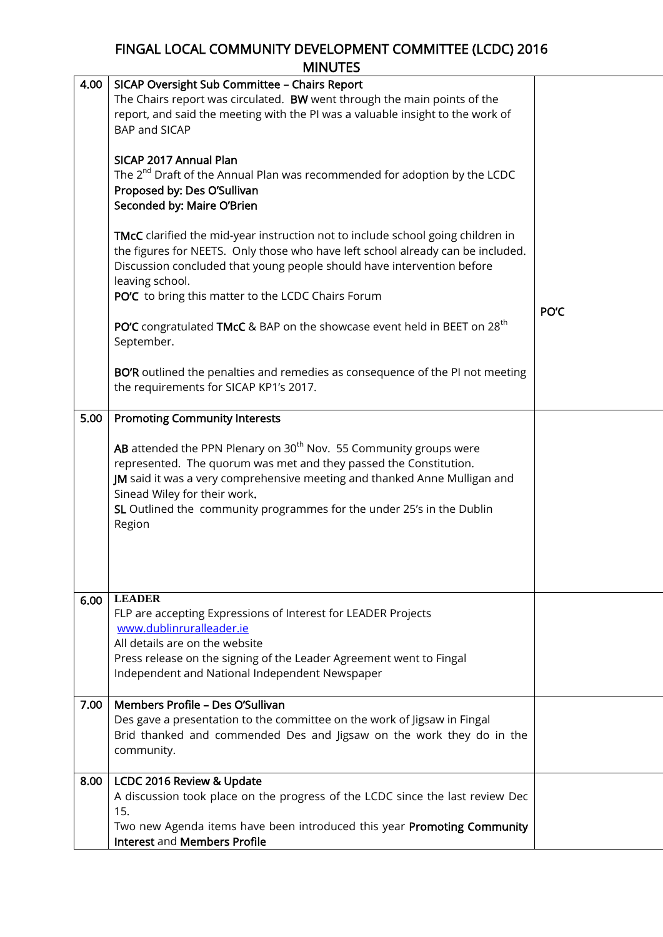| 4.00 | SICAP Oversight Sub Committee - Chairs Report<br>The Chairs report was circulated. BW went through the main points of the<br>report, and said the meeting with the PI was a valuable insight to the work of<br>BAP and SICAP                                                                                                                       |      |
|------|----------------------------------------------------------------------------------------------------------------------------------------------------------------------------------------------------------------------------------------------------------------------------------------------------------------------------------------------------|------|
|      | SICAP 2017 Annual Plan<br>The 2 <sup>nd</sup> Draft of the Annual Plan was recommended for adoption by the LCDC<br>Proposed by: Des O'Sullivan<br>Seconded by: Maire O'Brien                                                                                                                                                                       |      |
|      | <b>TMcC</b> clarified the mid-year instruction not to include school going children in<br>the figures for NEETS. Only those who have left school already can be included.<br>Discussion concluded that young people should have intervention before<br>leaving school.                                                                             |      |
|      | PO'C to bring this matter to the LCDC Chairs Forum                                                                                                                                                                                                                                                                                                 |      |
|      | <b>PO'C</b> congratulated TMcC & BAP on the showcase event held in BEET on 28 <sup>th</sup><br>September.                                                                                                                                                                                                                                          | PO'C |
|      | BO'R outlined the penalties and remedies as consequence of the PI not meeting<br>the requirements for SICAP KP1's 2017.                                                                                                                                                                                                                            |      |
| 5.00 | <b>Promoting Community Interests</b>                                                                                                                                                                                                                                                                                                               |      |
|      | AB attended the PPN Plenary on 30 <sup>th</sup> Nov. 55 Community groups were<br>represented. The quorum was met and they passed the Constitution.<br>JM said it was a very comprehensive meeting and thanked Anne Mulligan and<br>Sinead Wiley for their work.<br>SL Outlined the community programmes for the under 25's in the Dublin<br>Region |      |
|      |                                                                                                                                                                                                                                                                                                                                                    |      |
| 6.00 | <b>LEADER</b><br>FLP are accepting Expressions of Interest for LEADER Projects<br>www.dublinruralleader.ie<br>All details are on the website<br>Press release on the signing of the Leader Agreement went to Fingal<br>Independent and National Independent Newspaper                                                                              |      |
| 7.00 | Members Profile - Des O'Sullivan<br>Des gave a presentation to the committee on the work of Jigsaw in Fingal<br>Brid thanked and commended Des and Jigsaw on the work they do in the<br>community.                                                                                                                                                 |      |
| 8.00 | LCDC 2016 Review & Update<br>A discussion took place on the progress of the LCDC since the last review Dec<br>15.<br>Two new Agenda items have been introduced this year Promoting Community<br>Interest and Members Profile                                                                                                                       |      |